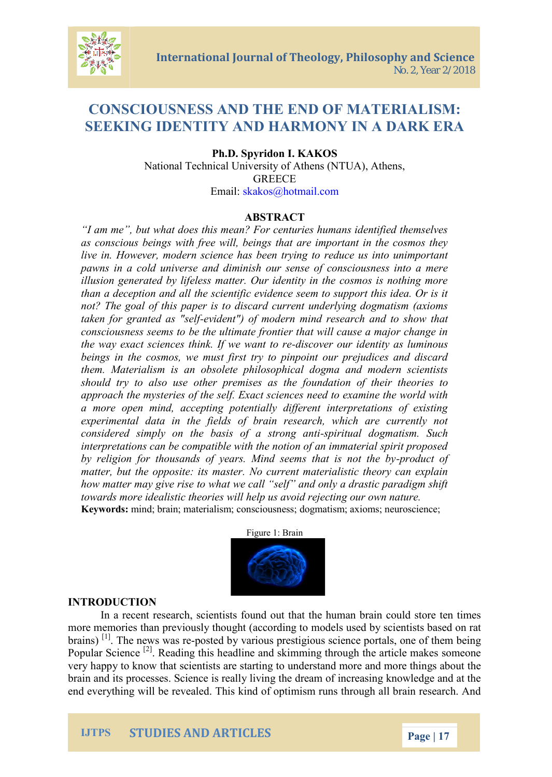## CONSCIOUSNESS AENDDTELE MATTELISM: SEEKING IDENTITHYAR MIDD NY IN A DAARK ER

## Ph.D. Spyridon I. KAKOS National Technical University of Athens (NTUA), At GREECE Email [:skakos@hotm](mailto:skakos@hotmail.com)ail.com

#### ABSTRACT

Iam me, but what does this mean? For centuries humans as conscious beings with free will, beings that are import live in. However, modern science has been trying to reduc pawns in a cecrlsde uamid diminish our sense of consciousness illusion generated by lifeless matter. Our identity in the c than a deception and all the scientific evidence seem to  $s_{\perp}$ not? The goal of tohidip caped identiant underlying dogmatism taken for granted identselof modern mind research and to consciousness seems to be the ultimate frontier that will c the way exact sciences thi-discolvew eo wrand etrotite as luminous beings in the cosmos, we must first try to pinpoint our p them. Materialism is an obsolete philosophical dogma an should try to also use other premises asiabetdoundation approach the mysteries of the self. Exact sciences need to a more open mind, accepting potentially different interp experimental data in the fields of brain research, which considerend y sim the basis of -sapist to and deconot imatism. Such interpretations can be compatible with the notion of an imm by religion for thousands of years. Minpodrosoblue contratis not that is not  $m$  atter, but the opposine: cius materialistic theory can  $\epsilon$ how matter may give rise to what we call self and only a towards more idealistic theories will help us avoid rejecting Keywordsind; brain; materialismolo groomsicsionus anxeisosm; neuroscience;

Figute Brain

#### INTRODUCTION

In a recent research, scientists found out that the huma m ore em ories than previous of protion of the models used by scientists based on  $r$ brain<sup>ta</sup>) The news pwase deby various prestigious science portal Popular  $S^{[\hat{c}]}$  eneading this headline and skimming through the very happy to knows that staen hist to understand more and more brain and its processes. Science is really living the dream o end everything will be revealed. This kind of optimism runs

IJTPS STUDIES AND ARTICLES Page 7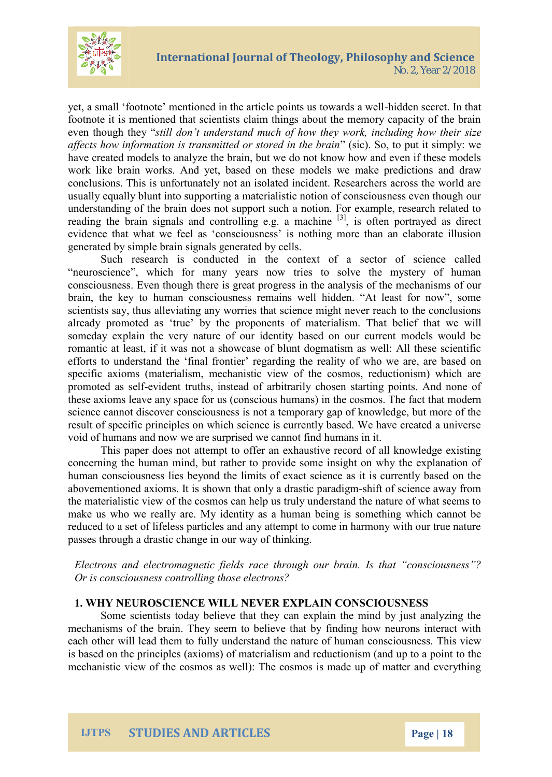

yet, a small 'footnote' mentioned in the article points us towards a well-hidden secret. In that footnote it is mentioned that scientists claim things about the memory capacity of the brain even though they "*still don't understand much of how they work, including how their size affects how information is transmitted or stored in the brain*" (sic). So, to put it simply: we have created models to analyze the brain, but we do not know how and even if these models work like brain works. And yet, based on these models we make predictions and draw conclusions. This is unfortunately not an isolated incident. Researchers across the world are usually equally blunt into supporting a materialistic notion of consciousness even though our understanding of the brain does not support such a notion. For example, research related to reading the brain signals and controlling e.g. a machine  $[3]$ , is often portrayed as direct evidence that what we feel as 'consciousness' is nothing more than an elaborate illusion generated by simple brain signals generated by cells.

Such research is conducted in the context of a sector of science called "neuroscience", which for many years now tries to solve the mystery of human consciousness. Even though there is great progress in the analysis of the mechanisms of our brain, the key to human consciousness remains well hidden. "At least for now", some scientists say, thus alleviating any worries that science might never reach to the conclusions already promoted as 'true' by the proponents of materialism. That belief that we will someday explain the very nature of our identity based on our current models would be romantic at least, if it was not a showcase of blunt dogmatism as well: All these scientific efforts to understand the 'final frontier' regarding the reality of who we are, are based on specific axioms (materialism, mechanistic view of the cosmos, reductionism) which are promoted as self-evident truths, instead of arbitrarily chosen starting points. And none of these axioms leave any space for us (conscious humans) in the cosmos. The fact that modern science cannot discover consciousness is not a temporary gap of knowledge, but more of the result of specific principles on which science is currently based. We have created a universe void of humans and now we are surprised we cannot find humans in it.

This paper does not attempt to offer an exhaustive record of all knowledge existing concerning the human mind, but rather to provide some insight on why the explanation of human consciousness lies beyond the limits of exact science as it is currently based on the abovementioned axioms. It is shown that only a drastic paradigm-shift of science away from the materialistic view of the cosmos can help us truly understand the nature of what seems to make us who we really are. My identity as a human being is something which cannot be reduced to a set of lifeless particles and any attempt to come in harmony with our true nature passes through a drastic change in our way of thinking.

*Electrons and electromagnetic fields race through our brain. Is that "consciousness"? Or is consciousness controlling those electrons?*

## **1. WHY NEUROSCIENCE WILL NEVER EXPLAIN CONSCIOUSNESS**

Some scientists today believe that they can explain the mind by just analyzing the mechanisms of the brain. They seem to believe that by finding how neurons interact with each other will lead them to fully understand the nature of human consciousness. This view is based on the principles (axioms) of materialism and reductionism (and up to a point to the mechanistic view of the cosmos as well): The cosmos is made up of matter and everything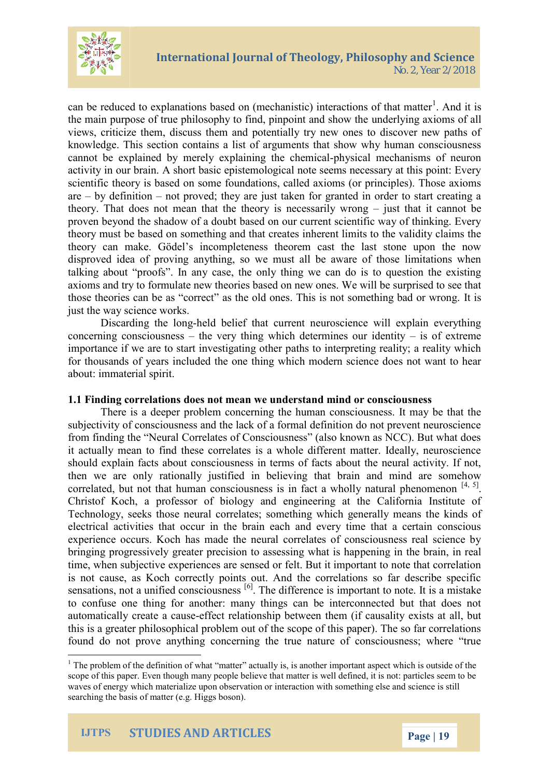

can be reduced to explanations based on (mechanistic) interactions of that matter<sup>1</sup>. And it is the main purpose of true philosophy to find, pinpoint and show the underlying axioms of all views, criticize them, discuss them and potentially try new ones to discover new paths of knowledge. This section contains a list of arguments that show why human consciousness cannot be explained by merely explaining the chemical-physical mechanisms of neuron activity in our brain. A short basic epistemological note seems necessary at this point: Every scientific theory is based on some foundations, called axioms (or principles). Those axioms are – by definition – not proved; they are just taken for granted in order to start creating a theory. That does not mean that the theory is necessarily wrong – just that it cannot be proven beyond the shadow of a doubt based on our current scientific way of thinking. Every theory must be based on something and that creates inherent limits to the validity claims the theory can make. Gödel's incompleteness theorem cast the last stone upon the now disproved idea of proving anything, so we must all be aware of those limitations when talking about "proofs". In any case, the only thing we can do is to question the existing axioms and try to formulate new theories based on new ones. We will be surprised to see that those theories can be as "correct" as the old ones. This is not something bad or wrong. It is just the way science works.

Discarding the long-held belief that current neuroscience will explain everything concerning consciousness – the very thing which determines our identity – is of extreme importance if we are to start investigating other paths to interpreting reality; a reality which for thousands of years included the one thing which modern science does not want to hear about: immaterial spirit.

## **1.1 Finding correlations does not mean we understand mind or consciousness**

There is a deeper problem concerning the human consciousness. It may be that the subjectivity of consciousness and the lack of a formal definition do not prevent neuroscience from finding the "Neural Correlates of Consciousness" (also known as NCC). But what does it actually mean to find these correlates is a whole different matter. Ideally, neuroscience should explain facts about consciousness in terms of facts about the neural activity. If not, then we are only rationally justified in believing that brain and mind are somehow correlated, but not that human consciousness is in fact a wholly natural phenomenon  $[4, 5]$ . Christof Koch, a professor of biology and engineering at the California Institute of Technology, seeks those neural correlates; something which generally means the kinds of electrical activities that occur in the brain each and every time that a certain conscious experience occurs. Koch has made the neural correlates of consciousness real science by bringing progressively greater precision to assessing what is happening in the brain, in real time, when subjective experiences are sensed or felt. But it important to note that correlation is not cause, as Koch correctly points out. And the correlations so far describe specific sensations, not a unified consciousness <sup>[6]</sup>. The difference is important to note. It is a mistake to confuse one thing for another: many things can be interconnected but that does not automatically create a cause-effect relationship between them (if causality exists at all, but this is a greater philosophical problem out of the scope of this paper). The so far correlations found do not prove anything concerning the true nature of consciousness; where "true

 $<sup>1</sup>$  The problem of the definition of what "matter" actually is, is another important aspect which is outside of the</sup> scope of this paper. Even though many people believe that matter is well defined, it is not: particles seem to be waves of energy which materialize upon observation or interaction with something else and science is still searching the basis of matter (e.g. Higgs boson).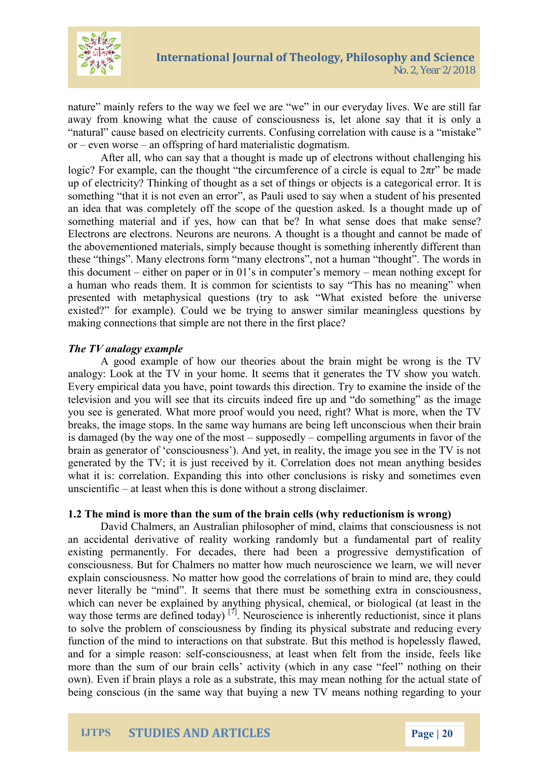

nature" mainly refers to the way we feel we are "we" in our everyday lives. We are still far away from knowing what the cause of consciousness is, let alone say that it is only a "natural" cause based on electricity currents. Confusing correlation with cause is a "mistake" or – even worse – an offspring of hard materialistic dogmatism.

After all, who can say that a thought is made up of electrons without challenging his logic? For example, can the thought "the circumference of a circle is equal to  $2\pi r$ " be made up of electricity? Thinking of thought as a set of things or objects is a categorical error. It is something "that it is not even an error", as Pauli used to say when a student of his presented an idea that was completely off the scope of the question asked. Is a thought made up of something material and if yes, how can that be? In what sense does that make sense? Electrons are electrons. Neurons are neurons. A thought is a thought and cannot be made of the abovementioned materials, simply because thought is something inherently different than these "things". Many electrons form "many electrons", not a human "thought". The words in this document – either on paper or in 01's in computer's memory – mean nothing except for a human who reads them. It is common for scientists to say "This has no meaning" when presented with metaphysical questions (try to ask "What existed before the universe existed?" for example). Could we be trying to answer similar meaningless questions by making connections that simple are not there in the first place?

## *The TV analogy example*

A good example of how our theories about the brain might be wrong is the TV analogy: Look at the TV in your home. It seems that it generates the TV show you watch. Every empirical data you have, point towards this direction. Try to examine the inside of the television and you will see that its circuits indeed fire up and "do something" as the image you see is generated. What more proof would you need, right? What is more, when the TV breaks, the image stops. In the same way humans are being left unconscious when their brain is damaged (by the way one of the most – supposedly – compelling arguments in favor of the brain as generator of 'consciousness'). And yet, in reality, the image you see in the TV is not generated by the TV; it is just received by it. Correlation does not mean anything besides what it is: correlation. Expanding this into other conclusions is risky and sometimes even unscientific – at least when this is done without a strong disclaimer.

#### **1.2 The mind is more than the sum of the brain cells (why reductionism is wrong)**

David Chalmers, an Australian philosopher of mind, claims that consciousness is not an accidental derivative of reality working randomly but a fundamental part of reality existing permanently. For decades, there had been a progressive demystification of consciousness. But for Chalmers no matter how much neuroscience we learn, we will never explain consciousness. No matter how good the correlations of brain to mind are, they could never literally be "mind". It seems that there must be something extra in consciousness, which can never be explained by anything physical, chemical, or biological (at least in the way those terms are defined today)<sup>[7]</sup>. Neuroscience is inherently reductionist, since it plans to solve the problem of consciousness by finding its physical substrate and reducing every function of the mind to interactions on that substrate. But this method is hopelessly flawed, and for a simple reason: self-consciousness, at least when felt from the inside, feels like more than the sum of our brain cells' activity (which in any case "feel" nothing on their own). Even if brain plays a role as a substrate, this may mean nothing for the actual state of being conscious (in the same way that buying a new TV means nothing regarding to your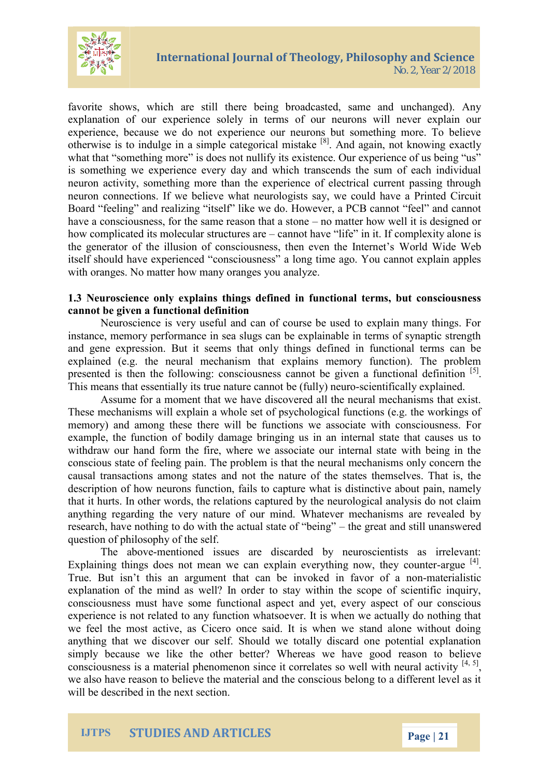

favorite shows, which are still there being broadcasted, same and unchanged). Any explanation of our experience solely in terms of our neurons will never explain our experience, because we do not experience our neurons but something more. To believe otherwise is to indulge in a simple categorical mistake [8]. And again, not knowing exactly what that "something more" is does not nullify its existence. Our experience of us being "us" is something we experience every day and which transcends the sum of each individual neuron activity, something more than the experience of electrical current passing through neuron connections. If we believe what neurologists say, we could have a Printed Circuit Board "feeling" and realizing "itself" like we do. However, a PCB cannot "feel" and cannot have a consciousness, for the same reason that a stone – no matter how well it is designed or how complicated its molecular structures are – cannot have "life" in it. If complexity alone is the generator of the illusion of consciousness, then even the Internet's World Wide Web itself should have experienced "consciousness" a long time ago. You cannot explain apples with oranges. No matter how many oranges you analyze.

## **1.3 Neuroscience only explains things defined in functional terms, but consciousness cannot be given a functional definition**

Neuroscience is very useful and can of course be used to explain many things. For instance, memory performance in sea slugs can be explainable in terms of synaptic strength and gene expression. But it seems that only things defined in functional terms can be explained (e.g. the neural mechanism that explains memory function). The problem presented is then the following: consciousness cannot be given a functional definition <sup>[5]</sup>. This means that essentially its true nature cannot be (fully) neuro-scientifically explained.

Assume for a moment that we have discovered all the neural mechanisms that exist. These mechanisms will explain a whole set of psychological functions (e.g. the workings of memory) and among these there will be functions we associate with consciousness. For example, the function of bodily damage bringing us in an internal state that causes us to withdraw our hand form the fire, where we associate our internal state with being in the conscious state of feeling pain. The problem is that the neural mechanisms only concern the causal transactions among states and not the nature of the states themselves. That is, the description of how neurons function, fails to capture what is distinctive about pain, namely that it hurts. In other words, the relations captured by the neurological analysis do not claim anything regarding the very nature of our mind. Whatever mechanisms are revealed by research, have nothing to do with the actual state of "being" – the great and still unanswered question of philosophy of the self.

The above-mentioned issues are discarded by neuroscientists as irrelevant: Explaining things does not mean we can explain everything now, they counter-argue  $^{[4]}$ . True. But isn't this an argument that can be invoked in favor of a non-materialistic explanation of the mind as well? In order to stay within the scope of scientific inquiry, consciousness must have some functional aspect and yet, every aspect of our conscious experience is not related to any function whatsoever. It is when we actually do nothing that we feel the most active, as Cicero once said. It is when we stand alone without doing anything that we discover our self. Should we totally discard one potential explanation simply because we like the other better? Whereas we have good reason to believe consciousness is a material phenomenon since it correlates so well with neural activity  $[4, 5]$ , we also have reason to believe the material and the conscious belong to a different level as it will be described in the next section.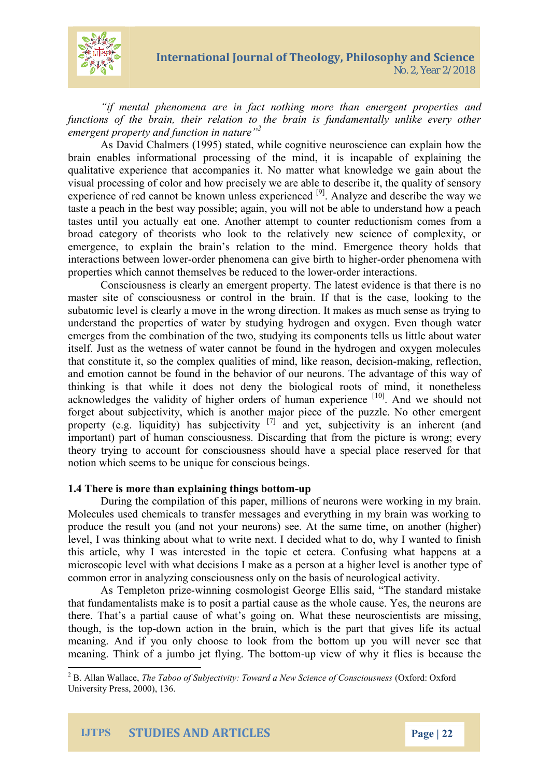

*"if mental phenomena are in fact nothing more than emergent properties and functions of the brain, their relation to the brain is fundamentally unlike every other emergent property and function in nature"<sup>2</sup>*

As David Chalmers (1995) stated, while cognitive neuroscience can explain how the brain enables informational processing of the mind, it is incapable of explaining the qualitative experience that accompanies it. No matter what knowledge we gain about the visual processing of color and how precisely we are able to describe it, the quality of sensory experience of red cannot be known unless experienced <sup>[9]</sup>. Analyze and describe the way we taste a peach in the best way possible; again, you will not be able to understand how a peach tastes until you actually eat one. Another attempt to counter reductionism comes from a broad category of theorists who look to the relatively new science of complexity, or emergence, to explain the brain's relation to the mind. Emergence theory holds that interactions between lower-order phenomena can give birth to higher-order phenomena with properties which cannot themselves be reduced to the lower-order interactions.

Consciousness is clearly an emergent property. The latest evidence is that there is no master site of consciousness or control in the brain. If that is the case, looking to the subatomic level is clearly a move in the wrong direction. It makes as much sense as trying to understand the properties of water by studying hydrogen and oxygen. Even though water emerges from the combination of the two, studying its components tells us little about water itself. Just as the wetness of water cannot be found in the hydrogen and oxygen molecules that constitute it, so the complex qualities of mind, like reason, decision-making, reflection, and emotion cannot be found in the behavior of our neurons. The advantage of this way of thinking is that while it does not deny the biological roots of mind, it nonetheless acknowledges the validity of higher orders of human experience [10]. And we should not forget about subjectivity, which is another major piece of the puzzle. No other emergent property (e.g. liquidity) has subjectivity  $[7]$  and yet, subjectivity is an inherent (and important) part of human consciousness. Discarding that from the picture is wrong; every theory trying to account for consciousness should have a special place reserved for that notion which seems to be unique for conscious beings.

## **1.4 There is more than explaining things bottom-up**

During the compilation of this paper, millions of neurons were working in my brain. Molecules used chemicals to transfer messages and everything in my brain was working to produce the result you (and not your neurons) see. At the same time, on another (higher) level, I was thinking about what to write next. I decided what to do, why I wanted to finish this article, why I was interested in the topic et cetera. Confusing what happens at a microscopic level with what decisions I make as a person at a higher level is another type of common error in analyzing consciousness only on the basis of neurological activity.

As Templeton prize-winning cosmologist George Ellis said, "The standard mistake that fundamentalists make is to posit a partial cause as the whole cause. Yes, the neurons are there. That's a partial cause of what's going on. What these neuroscientists are missing, though, is the top-down action in the brain, which is the part that gives life its actual meaning. And if you only choose to look from the bottom up you will never see that meaning. Think of a jumbo jet flying. The bottom-up view of why it flies is because the

<sup>2</sup> B. Allan Wallace, *The Taboo of Subjectivity: Toward a New Science of Consciousness* (Oxford: Oxford University Press, 2000), 136.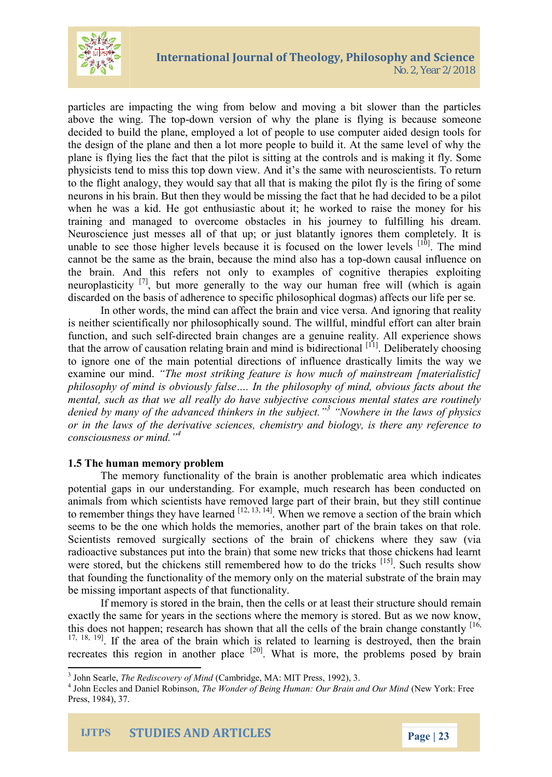

particles are impacting the wing from below and moving a bit slower than the particles above the wing. The top-down version of why the plane is flying is because someone decided to build the plane, employed a lot of people to use computer aided design tools for the design of the plane and then a lot more people to build it. At the same level of why the plane is flying lies the fact that the pilot is sitting at the controls and is making it fly. Some physicists tend to miss this top down view. And it's the same with neuroscientists. To return to the flight analogy, they would say that all that is making the pilot fly is the firing of some neurons in his brain. But then they would be missing the fact that he had decided to be a pilot when he was a kid. He got enthusiastic about it; he worked to raise the money for his training and managed to overcome obstacles in his journey to fulfilling his dream. Neuroscience just messes all of that up; or just blatantly ignores them completely. It is unable to see those higher levels because it is focused on the lower levels  $[10]$ . The mind cannot be the same as the brain, because the mind also has a top-down causal influence on the brain. And this refers not only to examples of cognitive therapies exploiting neuroplasticity  $\begin{bmatrix} 7 \end{bmatrix}$ , but more generally to the way our human free will (which is again discarded on the basis of adherence to specific philosophical dogmas) affects our life per se.

In other words, the mind can affect the brain and vice versa. And ignoring that reality is neither scientifically nor philosophically sound. The willful, mindful effort can alter brain function, and such self-directed brain changes are a genuine reality. All experience shows that the arrow of causation relating brain and mind is bidirectional [11]. Deliberately choosing to ignore one of the main potential directions of influence drastically limits the way we examine our mind. *"The most striking feature is how much of mainstream [materialistic] philosophy of mind is obviously false…. In the philosophy of mind, obvious facts about the mental, such as that we all really do have subjective conscious mental states are routinely denied by many of the advanced thinkers in the subject."<sup>3</sup> "Nowhere in the laws of physics or in the laws of the derivative sciences, chemistry and biology, is there any reference to consciousness or mind."<sup>4</sup>*

#### **1.5 The human memory problem**

The memory functionality of the brain is another problematic area which indicates potential gaps in our understanding. For example, much research has been conducted on animals from which scientists have removed large part of their brain, but they still continue to remember things they have learned  $[12, 13, 14]$ . When we remove a section of the brain which seems to be the one which holds the memories, another part of the brain takes on that role. Scientists removed surgically sections of the brain of chickens where they saw (via radioactive substances put into the brain) that some new tricks that those chickens had learnt were stored, but the chickens still remembered how to do the tricks  $^{[15]}$ . Such results show that founding the functionality of the memory only on the material substrate of the brain may be missing important aspects of that functionality.

If memory is stored in the brain, then the cells or at least their structure should remain exactly the same for years in the sections where the memory is stored. But as we now know, this does not happen; research has shown that all the cells of the brain change constantly  $[16, 16]$ <sup>17, 18, 19</sup>. If the area of the brain which is related to learning is destroyed, then the brain recreates this region in another place  $[20]$ . What is more, the problems posed by brain

<sup>3</sup> John Searle, *The Rediscovery of Mind* (Cambridge, MA: MIT Press, 1992), 3.

<sup>4</sup> John Eccles and Daniel Robinson, *The Wonder of Being Human: Our Brain and Our Mind* (New York: Free Press, 1984), 37.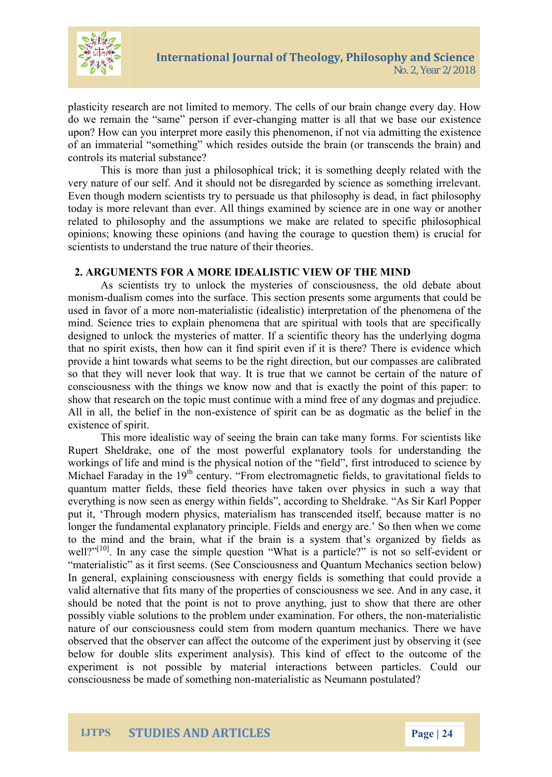

plasticity research are not limited to memory. The cells of our brain change every day. How do we remain the "same" person if ever-changing matter is all that we base our existence upon? How can you interpret more easily this phenomenon, if not via admitting the existence of an immaterial "something" which resides outside the brain (or transcends the brain) and controls its material substance?

This is more than just a philosophical trick; it is something deeply related with the very nature of our self. And it should not be disregarded by science as something irrelevant. Even though modern scientists try to persuade us that philosophy is dead, in fact philosophy today is more relevant than ever. All things examined by science are in one way or another related to philosophy and the assumptions we make are related to specific philosophical opinions; knowing these opinions (and having the courage to question them) is crucial for scientists to understand the true nature of their theories.

## **2. ARGUMENTS FOR A MORE IDEALISTIC VIEW OF THE MIND**

As scientists try to unlock the mysteries of consciousness, the old debate about monism-dualism comes into the surface. This section presents some arguments that could be used in favor of a more non-materialistic (idealistic) interpretation of the phenomena of the mind. Science tries to explain phenomena that are spiritual with tools that are specifically designed to unlock the mysteries of matter. If a scientific theory has the underlying dogma that no spirit exists, then how can it find spirit even if it is there? There is evidence which provide a hint towards what seems to be the right direction, but our compasses are calibrated so that they will never look that way. It is true that we cannot be certain of the nature of consciousness with the things we know now and that is exactly the point of this paper: to show that research on the topic must continue with a mind free of any dogmas and prejudice. All in all, the belief in the non-existence of spirit can be as dogmatic as the belief in the existence of spirit.

This more idealistic way of seeing the brain can take many forms. For scientists like Rupert Sheldrake, one of the most powerful explanatory tools for understanding the workings of life and mind is the physical notion of the "field", first introduced to science by Michael Faraday in the  $19<sup>th</sup>$  century. "From electromagnetic fields, to gravitational fields to quantum matter fields, these field theories have taken over physics in such a way that everything is now seen as energy within fields", according to Sheldrake. "As Sir Karl Popper put it, 'Through modern physics, materialism has transcended itself, because matter is no longer the fundamental explanatory principle. Fields and energy are.' So then when we come to the mind and the brain, what if the brain is a system that's organized by fields as well?"<sup>[10]</sup>. In any case the simple question "What is a particle?" is not so self-evident or "materialistic" as it first seems. (See Consciousness and Quantum Mechanics section below) In general, explaining consciousness with energy fields is something that could provide a valid alternative that fits many of the properties of consciousness we see. And in any case, it should be noted that the point is not to prove anything, just to show that there are other possibly viable solutions to the problem under examination. For others, the non-materialistic nature of our consciousness could stem from modern quantum mechanics. There we have observed that the observer can affect the outcome of the experiment just by observing it (see below for double slits experiment analysis). This kind of effect to the outcome of the experiment is not possible by material interactions between particles. Could our consciousness be made of something non-materialistic as Neumann postulated?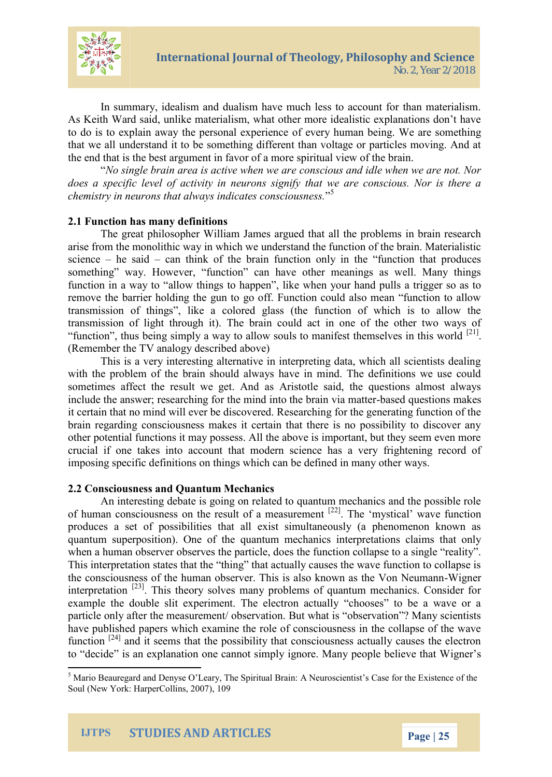

In summary, idealism and dualism have much less to account for than materialism. As Keith Ward said, unlike materialism, what other more idealistic explanations don't have to do is to explain away the personal experience of every human being. We are something that we all understand it to be something different than voltage or particles moving. And at the end that is the best argument in favor of a more spiritual view of the brain.

"*No single brain area is active when we are conscious and idle when we are not. Nor does a specific level of activity in neurons signify that we are conscious. Nor is there a chemistry in neurons that always indicates consciousness.*" 5

## **2.1 Function has many definitions**

The great philosopher William James argued that all the problems in brain research arise from the monolithic way in which we understand the function of the brain. Materialistic science  $-$  he said  $-$  can think of the brain function only in the "function that produces" something" way. However, "function" can have other meanings as well. Many things function in a way to "allow things to happen", like when your hand pulls a trigger so as to remove the barrier holding the gun to go off. Function could also mean "function to allow transmission of things", like a colored glass (the function of which is to allow the transmission of light through it). The brain could act in one of the other two ways of "function", thus being simply a way to allow souls to manifest themselves in this world  $[21]$ . (Remember the TV analogy described above)

This is a very interesting alternative in interpreting data, which all scientists dealing with the problem of the brain should always have in mind. The definitions we use could sometimes affect the result we get. And as Aristotle said, the questions almost always include the answer; researching for the mind into the brain via matter-based questions makes it certain that no mind will ever be discovered. Researching for the generating function of the brain regarding consciousness makes it certain that there is no possibility to discover any other potential functions it may possess. All the above is important, but they seem even more crucial if one takes into account that modern science has a very frightening record of imposing specific definitions on things which can be defined in many other ways.

#### **2.2 Consciousness and Quantum Mechanics**

An interesting debate is going on related to quantum mechanics and the possible role of human consciousness on the result of a measurement  $[22]$ . The 'mystical' wave function produces a set of possibilities that all exist simultaneously (a phenomenon known as quantum superposition). One of the quantum mechanics interpretations claims that only when a human observer observes the particle, does the function collapse to a single "reality". This interpretation states that the "thing" that actually causes the wave function to collapse is the consciousness of the human observer. This is also known as the Von Neumann-Wigner interpretation <sup>[23]</sup>. This theory solves many problems of quantum mechanics. Consider for example the double slit experiment. The electron actually "chooses" to be a wave or a particle only after the measurement/ observation. But what is "observation"? Many scientists have published papers which examine the role of consciousness in the collapse of the wave function <sup>[24]</sup> and it seems that the possibility that consciousness actually causes the electron to "decide" is an explanation one cannot simply ignore. Many people believe that Wigner's

<sup>5</sup> Mario Beauregard and Denyse O'Leary, The Spiritual Brain: A Neuroscientist's Case for the Existence of the Soul (New York: HarperCollins, 2007), 109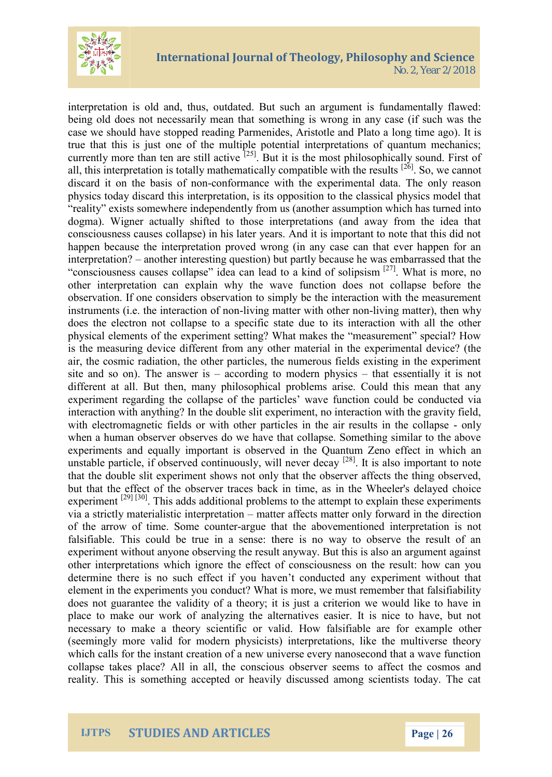

interpretation is old and, thus, outdated. But such an argument is fundamentally flawed: being old does not necessarily mean that something is wrong in any case (if such was the case we should have stopped reading Parmenides, Aristotle and Plato a long time ago). It is true that this is just one of the multiple potential interpretations of quantum mechanics; currently more than ten are still active  $[25]$ . But it is the most philosophically sound. First of all, this interpretation is totally mathematically compatible with the results  $[26]$ . So, we cannot discard it on the basis of non-conformance with the experimental data. The only reason physics today discard this interpretation, is its opposition to the classical physics model that "reality" exists somewhere independently from us (another assumption which has turned into dogma). Wigner actually shifted to those interpretations (and away from the idea that consciousness causes collapse) in his later years. And it is important to note that this did not happen because the interpretation proved wrong (in any case can that ever happen for an interpretation? – another interesting question) but partly because he was embarrassed that the "consciousness causes collapse" idea can lead to a kind of solipsism [27]. What is more, no other interpretation can explain why the wave function does not collapse before the observation. If one considers observation to simply be the interaction with the measurement instruments (i.e. the interaction of non-living matter with other non-living matter), then why does the electron not collapse to a specific state due to its interaction with all the other physical elements of the experiment setting? What makes the "measurement" special? How is the measuring device different from any other material in the experimental device? (the air, the cosmic radiation, the other particles, the numerous fields existing in the experiment site and so on). The answer is – according to modern physics – that essentially it is not different at all. But then, many philosophical problems arise. Could this mean that any experiment regarding the collapse of the particles' wave function could be conducted via interaction with anything? In the double slit experiment, no interaction with the gravity field, with electromagnetic fields or with other particles in the air results in the collapse - only when a human observer observes do we have that collapse. Something similar to the above experiments and equally important is observed in the Quantum Zeno effect in which an unstable particle, if observed continuously, will never decay  $[28]$ . It is also important to note that the double slit experiment shows not only that the observer affects the thing observed, but that the effect of the observer traces back in time, as in the Wheeler's delayed choice experiment <sup>[29] [30]</sup>. This adds additional problems to the attempt to explain these experiments via a strictly materialistic interpretation – matter affects matter only forward in the direction of the arrow of time. Some counter-argue that the abovementioned interpretation is not falsifiable. This could be true in a sense: there is no way to observe the result of an experiment without anyone observing the result anyway. But this is also an argument against other interpretations which ignore the effect of consciousness on the result: how can you determine there is no such effect if you haven't conducted any experiment without that element in the experiments you conduct? What is more, we must remember that falsifiability does not guarantee the validity of a theory; it is just a criterion we would like to have in place to make our work of analyzing the alternatives easier. It is nice to have, but not necessary to make a theory scientific or valid. How falsifiable are for example other (seemingly more valid for modern physicists) interpretations, like the multiverse theory which calls for the instant creation of a new universe every nanosecond that a wave function collapse takes place? All in all, the conscious observer seems to affect the cosmos and reality. This is something accepted or heavily discussed among scientists today. The cat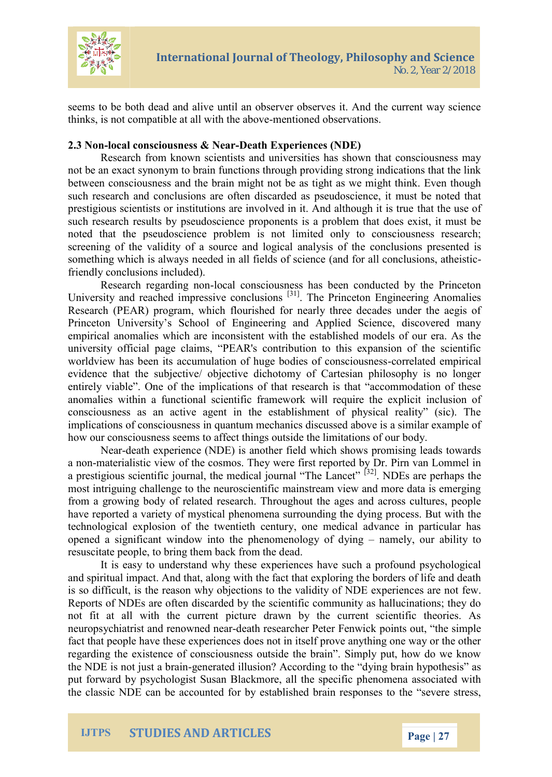

seems to be both dead and alive until an observer observes it. And the current way science thinks, is not compatible at all with the above-mentioned observations.

#### **2.3 Non-local consciousness & Near-Death Experiences (NDE)**

Research from known scientists and universities has shown that consciousness may not be an exact synonym to brain functions through providing strong indications that the link between consciousness and the brain might not be as tight as we might think. Even though such research and conclusions are often discarded as pseudoscience, it must be noted that prestigious scientists or institutions are involved in it. And although it is true that the use of such research results by pseudoscience proponents is a problem that does exist, it must be noted that the pseudoscience problem is not limited only to consciousness research; screening of the validity of a source and logical analysis of the conclusions presented is something which is always needed in all fields of science (and for all conclusions, atheisticfriendly conclusions included).

Research regarding non-local consciousness has been conducted by the Princeton University and reached impressive conclusions <sup>[31]</sup>. The Princeton Engineering Anomalies Research (PEAR) program, which flourished for nearly three decades under the aegis of Princeton University's School of Engineering and Applied Science, discovered many empirical anomalies which are inconsistent with the established models of our era. As the university official page claims, "PEAR's contribution to this expansion of the scientific worldview has been its accumulation of huge bodies of consciousness-correlated empirical evidence that the subjective/ objective dichotomy of Cartesian philosophy is no longer entirely viable". One of the implications of that research is that "accommodation of these anomalies within a functional scientific framework will require the explicit inclusion of consciousness as an active agent in the establishment of physical reality" (sic). The implications of consciousness in quantum mechanics discussed above is a similar example of how our consciousness seems to affect things outside the limitations of our body.

Near-death experience (NDE) is another field which shows promising leads towards a non-materialistic view of the cosmos. They were first reported by Dr. Pirn van Lommel in a prestigious scientific journal, the medical journal "The Lancet" <sup>[32]</sup>. NDEs are perhaps the most intriguing challenge to the neuroscientific mainstream view and more data is emerging from a growing body of related research. Throughout the ages and across cultures, people have reported a variety of mystical phenomena surrounding the dying process. But with the technological explosion of the twentieth century, one medical advance in particular has opened a significant window into the phenomenology of dying – namely, our ability to resuscitate people, to bring them back from the dead.

It is easy to understand why these experiences have such a profound psychological and spiritual impact. And that, along with the fact that exploring the borders of life and death is so difficult, is the reason why objections to the validity of NDE experiences are not few. Reports of NDEs are often discarded by the scientific community as hallucinations; they do not fit at all with the current picture drawn by the current scientific theories. As neuropsychiatrist and renowned near-death researcher Peter Fenwick points out, "the simple fact that people have these experiences does not in itself prove anything one way or the other regarding the existence of consciousness outside the brain". Simply put, how do we know the NDE is not just a brain-generated illusion? According to the "dying brain hypothesis" as put forward by psychologist Susan Blackmore, all the specific phenomena associated with the classic NDE can be accounted for by established brain responses to the "severe stress,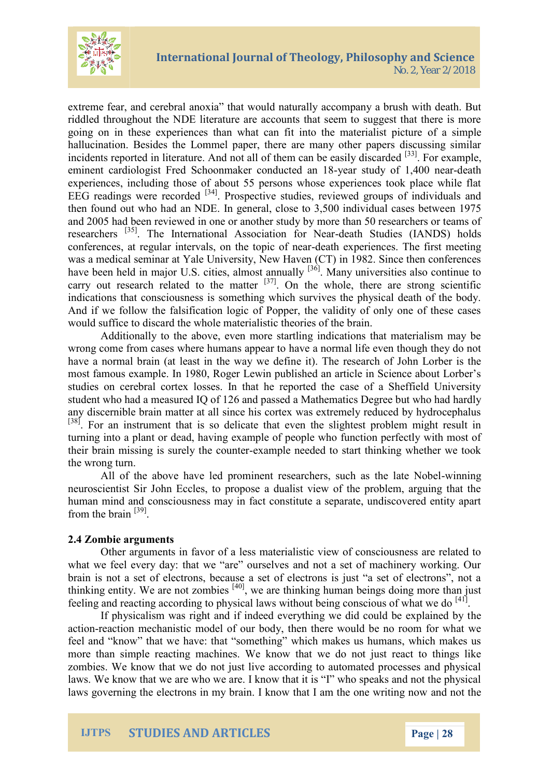

extreme fear, and cerebral anoxia" that would naturally accompany a brush with death. But riddled throughout the NDE literature are accounts that seem to suggest that there is more going on in these experiences than what can fit into the materialist picture of a simple hallucination. Besides the Lommel paper, there are many other papers discussing similar incidents reported in literature. And not all of them can be easily discarded <sup>[33]</sup>. For example, eminent cardiologist Fred Schoonmaker conducted an 18-year study of 1,400 near-death experiences, including those of about 55 persons whose experiences took place while flat EEG readings were recorded <sup>[34]</sup>. Prospective studies, reviewed groups of individuals and then found out who had an NDE. In general, close to 3,500 individual cases between 1975 and 2005 had been reviewed in one or another study by more than 50 researchers or teams of researchers [35]. The International Association for Near-death Studies (IANDS) holds conferences, at regular intervals, on the topic of near-death experiences. The first meeting was a medical seminar at Yale University, New Haven (CT) in 1982. Since then conferences have been held in major U.S. cities, almost annually  $[36]$ . Many universities also continue to carry out research related to the matter  $[37]$ . On the whole, there are strong scientific indications that consciousness is something which survives the physical death of the body. And if we follow the falsification logic of Popper, the validity of only one of these cases would suffice to discard the whole materialistic theories of the brain.

Additionally to the above, even more startling indications that materialism may be wrong come from cases where humans appear to have a normal life even though they do not have a normal brain (at least in the way we define it). The research of John Lorber is the most famous example. In 1980, Roger Lewin published an article in Science about Lorber's studies on cerebral cortex losses. In that he reported the case of a Sheffield University student who had a measured IQ of 126 and passed a Mathematics Degree but who had hardly any discernible brain matter at all since his cortex was extremely reduced by hydrocephalus <sup>[38]</sup>. For an instrument that is so delicate that even the slightest problem might result in turning into a plant or dead, having example of people who function perfectly with most of their brain missing is surely the counter-example needed to start thinking whether we took the wrong turn.

All of the above have led prominent researchers, such as the late Nobel-winning neuroscientist Sir John Eccles, to propose a dualist view of the problem, arguing that the human mind and consciousness may in fact constitute a separate, undiscovered entity apart from the brain [39].

#### **2.4 Zombie arguments**

Other arguments in favor of a less materialistic view of consciousness are related to what we feel every day: that we "are" ourselves and not a set of machinery working. Our brain is not a set of electrons, because a set of electrons is just "a set of electrons", not a thinking entity. We are not zombies <sup>[40]</sup>, we are thinking human beings doing more than just feeling and reacting according to physical laws without being conscious of what we do [41].

If physicalism was right and if indeed everything we did could be explained by the action-reaction mechanistic model of our body, then there would be no room for what we feel and "know" that we have: that "something" which makes us humans, which makes us more than simple reacting machines. We know that we do not just react to things like zombies. We know that we do not just live according to automated processes and physical laws. We know that we are who we are. I know that it is "I" who speaks and not the physical laws governing the electrons in my brain. I know that I am the one writing now and not the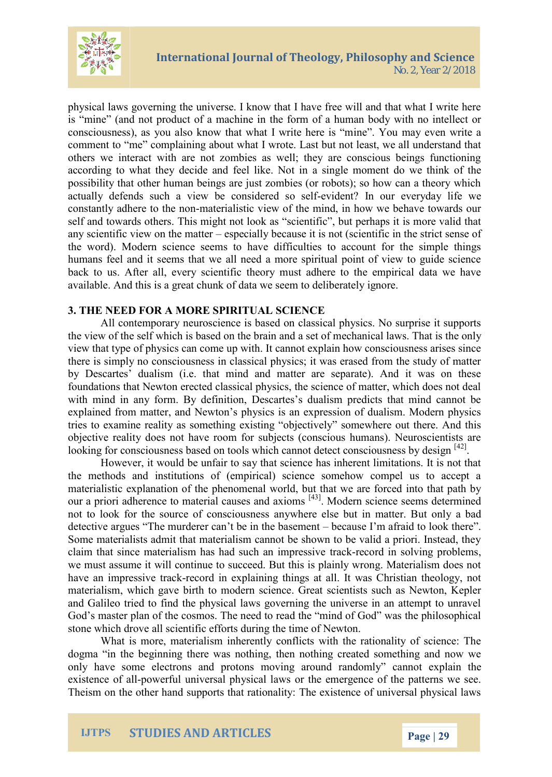

physical laws governing the universe. I know that I have free will and that what I write here is "mine" (and not product of a machine in the form of a human body with no intellect or consciousness), as you also know that what I write here is "mine". You may even write a comment to "me" complaining about what I wrote. Last but not least, we all understand that others we interact with are not zombies as well; they are conscious beings functioning according to what they decide and feel like. Not in a single moment do we think of the possibility that other human beings are just zombies (or robots); so how can a theory which actually defends such a view be considered so self-evident? In our everyday life we constantly adhere to the non-materialistic view of the mind, in how we behave towards our self and towards others. This might not look as "scientific", but perhaps it is more valid that any scientific view on the matter – especially because it is not (scientific in the strict sense of the word). Modern science seems to have difficulties to account for the simple things humans feel and it seems that we all need a more spiritual point of view to guide science back to us. After all, every scientific theory must adhere to the empirical data we have available. And this is a great chunk of data we seem to deliberately ignore.

## **3. THE NEED FOR A MORE SPIRITUAL SCIENCE**

All contemporary neuroscience is based on classical physics. No surprise it supports the view of the self which is based on the brain and a set of mechanical laws. That is the only view that type of physics can come up with. It cannot explain how consciousness arises since there is simply no consciousness in classical physics; it was erased from the study of matter by Descartes' dualism (i.e. that mind and matter are separate). And it was on these foundations that Newton erected classical physics, the science of matter, which does not deal with mind in any form. By definition, Descartes's dualism predicts that mind cannot be explained from matter, and Newton's physics is an expression of dualism. Modern physics tries to examine reality as something existing "objectively" somewhere out there. And this objective reality does not have room for subjects (conscious humans). Neuroscientists are looking for consciousness based on tools which cannot detect consciousness by design [42].

However, it would be unfair to say that science has inherent limitations. It is not that the methods and institutions of (empirical) science somehow compel us to accept a materialistic explanation of the phenomenal world, but that we are forced into that path by our a priori adherence to material causes and axioms [43]. Modern science seems determined not to look for the source of consciousness anywhere else but in matter. But only a bad detective argues "The murderer can't be in the basement – because I'm afraid to look there". Some materialists admit that materialism cannot be shown to be valid a priori. Instead, they claim that since materialism has had such an impressive track-record in solving problems, we must assume it will continue to succeed. But this is plainly wrong. Materialism does not have an impressive track-record in explaining things at all. It was Christian theology, not materialism, which gave birth to modern science. Great scientists such as Newton, Kepler and Galileo tried to find the physical laws governing the universe in an attempt to unravel God's master plan of the cosmos. The need to read the "mind of God" was the philosophical stone which drove all scientific efforts during the time of Newton.

What is more, materialism inherently conflicts with the rationality of science: The dogma "in the beginning there was nothing, then nothing created something and now we only have some electrons and protons moving around randomly" cannot explain the existence of all-powerful universal physical laws or the emergence of the patterns we see. Theism on the other hand supports that rationality: The existence of universal physical laws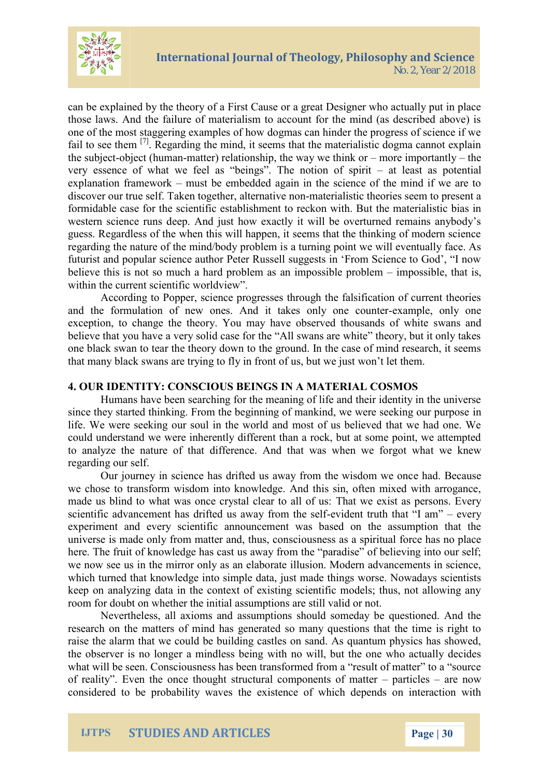

can be explained by the theory of a First Cause or a great Designer who actually put in place those laws. And the failure of materialism to account for the mind (as described above) is one of the most staggering examples of how dogmas can hinder the progress of science if we fail to see them  $\left[7\right]$ . Regarding the mind, it seems that the materialistic dogma cannot explain the subject-object (human-matter) relationship, the way we think or – more importantly – the very essence of what we feel as "beings". The notion of spirit – at least as potential explanation framework – must be embedded again in the science of the mind if we are to discover our true self. Taken together, alternative non-materialistic theories seem to present a formidable case for the scientific establishment to reckon with. But the materialistic bias in western science runs deep. And just how exactly it will be overturned remains anybody's guess. Regardless of the when this will happen, it seems that the thinking of modern science regarding the nature of the mind/body problem is a turning point we will eventually face. As futurist and popular science author Peter Russell suggests in 'From Science to God', "I now believe this is not so much a hard problem as an impossible problem – impossible, that is, within the current scientific worldview".

According to Popper, science progresses through the falsification of current theories and the formulation of new ones. And it takes only one counter-example, only one exception, to change the theory. You may have observed thousands of white swans and believe that you have a very solid case for the "All swans are white" theory, but it only takes one black swan to tear the theory down to the ground. In the case of mind research, it seems that many black swans are trying to fly in front of us, but we just won't let them.

#### **4. OUR IDENTITY: CONSCIOUS BEINGS IN A MATERIAL COSMOS**

Humans have been searching for the meaning of life and their identity in the universe since they started thinking. From the beginning of mankind, we were seeking our purpose in life. We were seeking our soul in the world and most of us believed that we had one. We could understand we were inherently different than a rock, but at some point, we attempted to analyze the nature of that difference. And that was when we forgot what we knew regarding our self.

Our journey in science has drifted us away from the wisdom we once had. Because we chose to transform wisdom into knowledge. And this sin, often mixed with arrogance, made us blind to what was once crystal clear to all of us: That we exist as persons. Every scientific advancement has drifted us away from the self-evident truth that "I am" – every experiment and every scientific announcement was based on the assumption that the universe is made only from matter and, thus, consciousness as a spiritual force has no place here. The fruit of knowledge has cast us away from the "paradise" of believing into our self; we now see us in the mirror only as an elaborate illusion. Modern advancements in science, which turned that knowledge into simple data, just made things worse. Nowadays scientists keep on analyzing data in the context of existing scientific models; thus, not allowing any room for doubt on whether the initial assumptions are still valid or not.

Nevertheless, all axioms and assumptions should someday be questioned. And the research on the matters of mind has generated so many questions that the time is right to raise the alarm that we could be building castles on sand. As quantum physics has showed, the observer is no longer a mindless being with no will, but the one who actually decides what will be seen. Consciousness has been transformed from a "result of matter" to a "source of reality". Even the once thought structural components of matter – particles – are now considered to be probability waves the existence of which depends on interaction with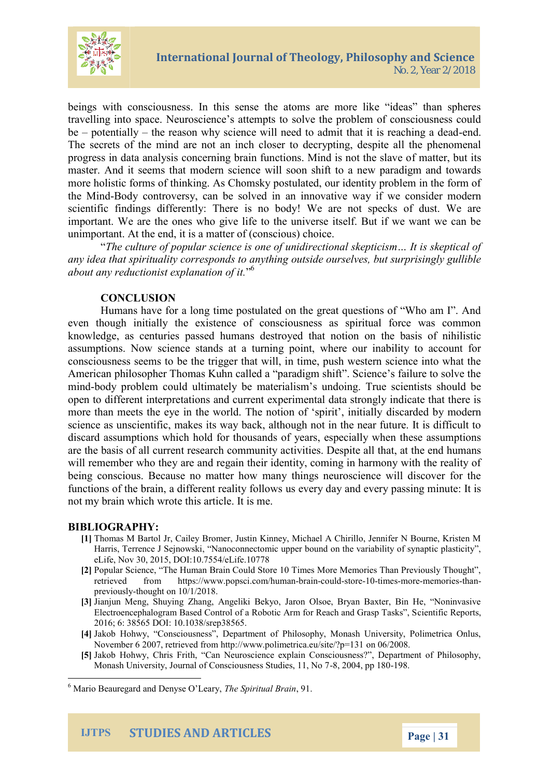## International Journal of Theology, Phi No. 2, Year 2/2018

beings with consciousness. In this sense the atoms are m travelling into space. Neuroscience s attempts to solve the be potentiath **p** reason why science will need to ademid that it The secrets of the mind are not an inch closer to decrypting progress in data analysis concerning brain ffummattions but into i master. And it seems that modern science will soon shift to more holistic forms of thinking. As Chomsky postulated, our the M-Bonddy controversy, can be solveady in wae cromoswidateirvem owde scientific findings differently: There is no body! We are no important. We are the ones who give life to the universe its unimportant. At the end, it is a minuter of (conscious) c

The culture of popular science is one of unidirectional  $\epsilon$ any idea that spirituality corresponds to anything outside ou about any reductionist  $\frac{6}{6}$ xplanation of it.

## CONCLUSION

Humans eha or a long time postulated on the great questic even though initially the existence of consciousness as a knowledge, as centuries passed humans destroyed that not assumptions. Sendice stands at a turning point, where our inability to account for all and formulate  $\alpha$ consciousness seems to be the trigger that will, in time, pu American philosopher Thomas Kuhn called a paradigm shift min-body problem could ultimately be materialism s undoing. open to different interpretations and current experimental da more than meets the eye in the world. To his cracedie on boy maped einth science as unscientific, makes its way back, although not in discard assumptions which hold for thousands of years, esp are the basis of all current tewside earsch Decompointue natly taheat, at the will remember who they are and regain their identity, coming being conscious. Because no matter how many things neuro functions of the bematime aalid viffoonlows us every day and every p not my brain which wrote this article. It is me.

#### BIBLIOGRAPHY:

- [1]Thomas M Bartol Jr, Cailey Bromer, Justin Kinney, Michael A Chirillo Harris, Terrence, J Sejnowski ctomic upper bound on the variability of starting planning of synaptic planning eLife, Nov 30, 2015, DOI:10.7554/eLife.10778
- [2]Popular Science, The Human Brain Could Store 10 Times More Memc retrieved fhotmps://www.popsacmib**ca-iono/b-bo**chro-n1e9timensormeemortines.n  $previ$ o- $t$ uslow gomt  $10/1/2018$ .
- [3]Jianjun Meng, Shuying Zhang, Angeliki Bekyo, Jaron Olsoe, Bryan Electroencephalogram Based Control of a Robotic CAPT Armit foor Reeparchts and 2016; 6: 38565 DOI: 10.1038/srep38565.
- [4]akob Hohwy, Consciousness, Department of Philosophy, Monash November 6 2007, rhettripe ///ewdw.for.comolimetrica.oeu/066i/t2e006 = 131
- [5]akob Hohwy, t hri Can Ti Neuroscience explain Consciousness?, Depa Monash University, Journal of Consc-8qu2s 00045, pp 90 81 dBi@es, 11, No 7

 $^6$  Mario Beauregard and DTehney Siop in Lune and  $\overline{B}$  and  $\overline{B}$ 

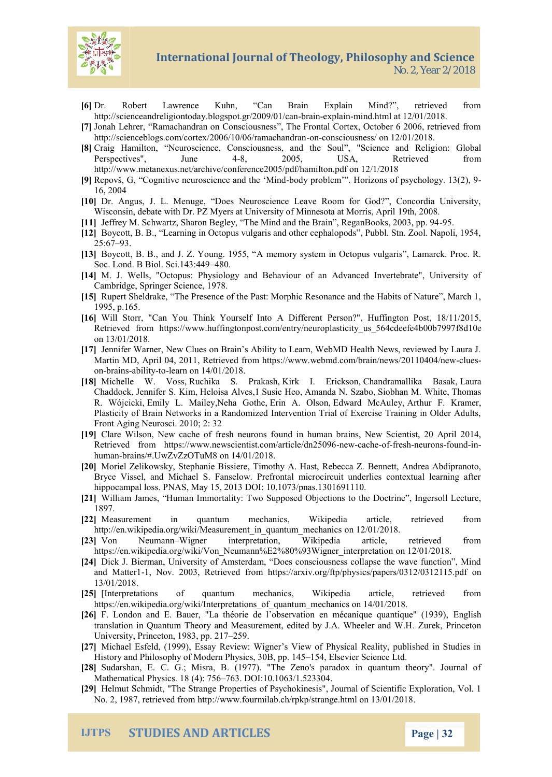# International Journal of Theology, Phi

No. 2, Year 2/2018

- [6<code>Dr Robert Lawrence Kuhn, Can Brain Explain Mind?</code> , http://scienceandreligiontoday.bblogenesyonthaming information 2008/01/02/08  $h/2$ 018.
- [7]Jonah Lehrer, Ramachandran on Consciousness, The Frontal Corte) [http://scienceblogs.com/cortex/2006/10/06/](http://scienceblogs.com/cortex/2006/10/06/ramachandran-on-consciousness/)ramachandran -on-consciousness/ on 12/01/2018.
- [8]Craig Hamilton, Neuroscience, Consciousness, anodn:th Glo Sonaul, "S<br>Perspectives", Ju&e 24005, USA, Retrieved fro Perspectives", Ju&e 24005, USA, Retrieved from [http://www.metanexus.net/archive/conf](http://www.metanexus.net/archive/conference2005/pdf/hamilton.pdf)erence2005/pdf/hamilton.pdf or
- [9]Repova, G, iv@omg mutoscience abnodd the rold led . Horizons of psychology 16, 2004
- [10Dr. Angus, J. L. Menuge, Does Neuroscience Leave Room for G Wisconsin, debate with Dr. PZ Myers at Univer\$9tth, 02 000i& nesota at Mo
- [11]Jeffrey M. Schwartz, Sharon Begley, The Mind and 965e Brain, Rega [12Boycott, B. B., Learning in Octopus vulgaris and other cephalopods
- $25:6973$ . [13]Boycott, B. B., and J. ZA memogy 1s9y 5s for in Octopus vulgaris, Lamarch. Soc. Lond. B Biol. 49860i. 143:449
- [14M. J. Wells, "Octopus: Physiology and Behaviour of an Advanced Cambridge, Springer Science, 1978.
- [15]Rupert Sheldrake, The Passe Moxer politic hResonance and the Habits of I 1995, p.165.
- [16]Will Storr, "Can You Think Yourself Into A Different Person?", H Retrieved from https://www.huffingtonpost.com/entry/nfe3udr100pdasticity on 13/01/2018.
- [17]ennifer Warner, New Clues on Brain s Ability to Learn, WebMD Hea Martin MD, April 04, 2011, Retrieved from https://www.-wlaubemsd.com/br onbrai-abilitto earn on 14/01/2018.
- [18]Michelle W.,R. Volnsiska PSrakaksihrk I. EriChlosonduramallika LauBraasak Chadd,oJoeknnifer SHeKloininsa ,A1So-uessie ,Kalencanda N.,SSizoabbhoan M.,TMn/bimte s R. WójçEcmkiily L. Mybeihoey G,oEtrhie. A. OElslownard Mc,AAutleyur F. Kramer Plasticity of Brain Networks in a Randomized Intervention Trial of E Front Aging Neurosci. 2010; 2: 32
- [19]Clare Wilson, New cache ound desch human am brains, New Scientist, 20 Retrieved from https://www.newscie-**neiwerba.com/article/dns2i61**096 humabrains/#.UwZvZzOTuM8 on 14/01/2018.
- [2.0]Moriel ZelikSotwespkhya, nie Bissiere, Timothy BA.en-Hniaestt, AR neobheecacaAbdZdipranot Bryce Vissel, and Michael S. Fanselow. Prefrontal microcircuit unc hippocampal loss. PNAS, May 15, 2013 DOI: 10.1073/pnas.1301691110.
- [21]William James, Human Immortality: Tow oth Seu Diposeteion e Objleng tein os allt Lec 1897.
- [22Measurement in quantum mechanics, Wikipedia article, [http://en.wikipedia.org/wiki/Measurem](http://en.wikipedia.org/wiki/Measurement_in_quantum_mechanics) womt\_1021/220u1a8n.tum\_mechanics
- $[23]$ Von Neum $W$ áingmer interpretation, Wikipedia article, retr https://en.wikipedia.org/wiki/Von\_Neumann%E2%8102%0913/h200gln8er\_interpi
- [24Dik J. Bierman, University of Amsterdam, Does consciousness coll and MatterNov. 2003, Rethitetypesd//farroxmiv.org/ftp/physics/papers/0312/0 13/01/2018.
- $[25]$ Interpretations of quantum mechanics, Wikipedia article https://en.wikipedia.org/wiki/Interpretations\_of\_quantum\_mechanics on
- [26]F. London and E. Bauer, "La théorie de lobservatidEm gelinshmécanique translation in Quantum Theory and Measurement., Zeudrieakd BeyindceAtoh Whe University, Princeton259983, pp. 217
- [27]Michael Esfeld, (1999), Essay Review: Wigner s View of Physical F History Pahniblosophy of Modern Physlisto $\ast$ , BilosBe, vipepr. Sic4isTence Ltd.
- [28]Sudarshan, E. C. G.; Misra, B. (1977). "The Zeno's paradox in Mathematical Physic 36 31.8 D(4): 1 05 60 63/1.523304.
- $[29]$ Helmut Schmidt, "The tSetsange Ps $S$ yroohpoekrinesis", Journal of Scientific E No. 2, 1987, rethitepe/d wiwww.mfourmilab.ch/rpkp/strange.html on 13/01/2